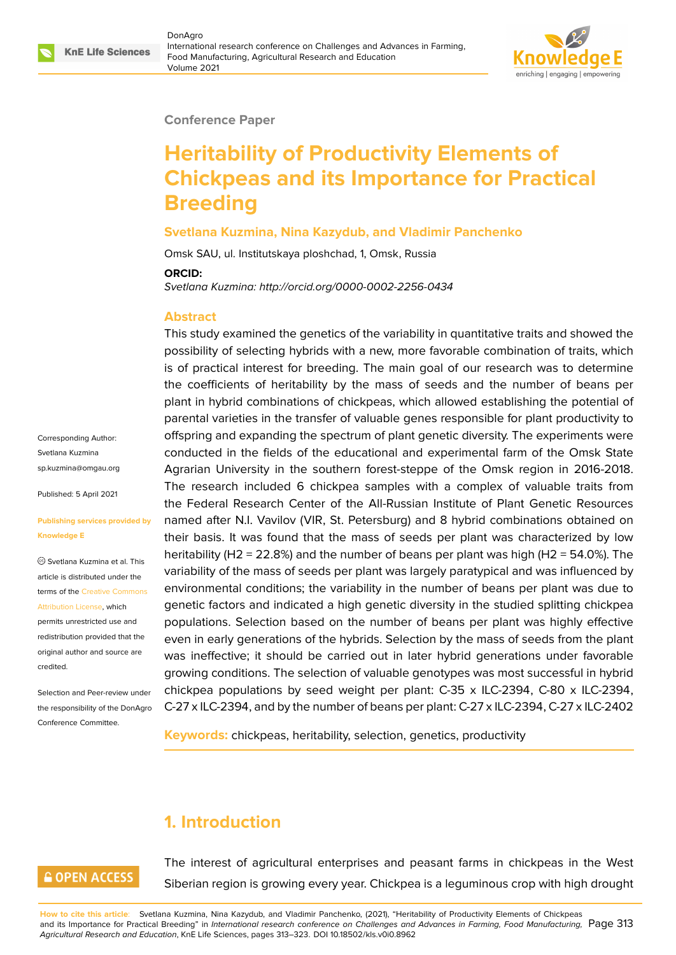

#### **Conference Paper**

# **Heritability of Productivity Elements of Chickpeas and its Importance for Practical Breeding**

#### **Svetlana Kuzmina, Nina Kazydub, and Vladimir Panchenko**

Omsk SAU, ul. Institutskaya ploshchad, 1, Omsk, Russia **ORCID:**

*Svetlana Kuzmina: http://orcid.org/0000-0002-2256-0434*

#### **Abstract**

This study examined the genetics of the variability in quantitative traits and showed the possibility of selecting hybrids with a new, more favorable combination of traits, which is of practical interest for breeding. The main goal of our research was to determine the coefficients of heritability by the mass of seeds and the number of beans per plant in hybrid combinations of chickpeas, which allowed establishing the potential of parental varieties in the transfer of valuable genes responsible for plant productivity to offspring and expanding the spectrum of plant genetic diversity. The experiments were conducted in the fields of the educational and experimental farm of the Omsk State Agrarian University in the southern forest-steppe of the Omsk region in 2016-2018. The research included 6 chickpea samples with a complex of valuable traits from the Federal Research Center of the All-Russian Institute of Plant Genetic Resources named after N.I. Vavilov (VIR, St. Petersburg) and 8 hybrid combinations obtained on their basis. It was found that the mass of seeds per plant was characterized by low heritability (H2 = 22.8%) and the number of beans per plant was high (H2 = 54.0%). The variability of the mass of seeds per plant was largely paratypical and was influenced by environmental conditions; the variability in the number of beans per plant was due to genetic factors and indicated a high genetic diversity in the studied splitting chickpea populations. Selection based on the number of beans per plant was highly effective even in early generations of the hybrids. Selection by the mass of seeds from the plant was ineffective; it should be carried out in later hybrid generations under favorable growing conditions. The selection of valuable genotypes was most successful in hybrid chickpea populations by seed weight per plant: C-35 x ILC-2394, C-80 x ILC-2394, C-27 x ILC-2394, and by the number of beans per plant: C-27 x ILC-2394, C-27 x ILC-2402

**Keywords:** chickpeas, heritability, selection, genetics, productivity

## **1. Introduction**

### **GOPEN ACCESS**

The interest of agricultural enterprises and peasant farms in chickpeas in the West Siberian region is growing every year. Chickpea is a leguminous crop with high drought

**How to cite this article**: Svetlana Kuzmina, Nina Kazydub, and Vladimir Panchenko, (2021), "Heritability of Productivity Elements of Chickpeas and its Importance for Practical Breeding" in *International research conference on Challenges and Advances in Farming, Food Manufacturing,* Page 313 *Agricultural Research and Education*, KnE Life Sciences, pages 313–323. DOI 10.18502/kls.v0i0.8962

Corresponding Author: Svetlana Kuzmina sp.kuzmina@omgau.org

Published: 5 April 2021

#### **[Publishing services pro](mailto:sp.kuzmina@omgau.org)vided by Knowledge E**

Svetlana Kuzmina et al. This article is distributed under the terms of the Creative Commons Attribution License, which

permits unrestricted use and redistribution provided that the original auth[or and source are](https://creativecommons.org/licenses/by/4.0/) [credited.](https://creativecommons.org/licenses/by/4.0/)

Selection and Peer-review under the responsibility of the DonAgro Conference Committee.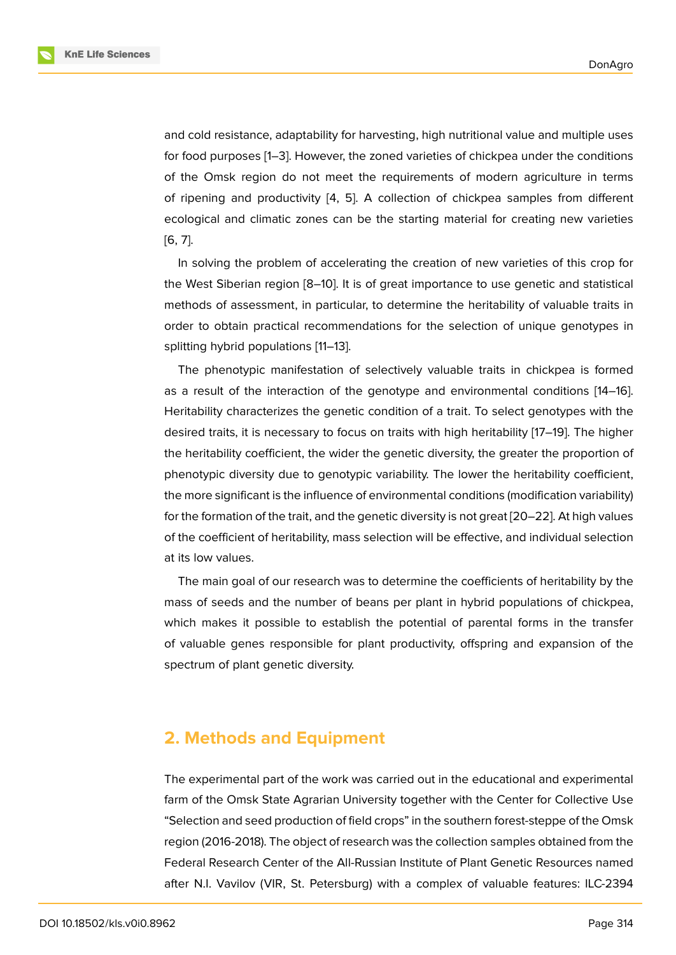and cold resistance, adaptability for harvesting, high nutritional value and multiple uses for food purposes [1–3]. However, the zoned varieties of chickpea under the conditions of the Omsk region do not meet the requirements of modern agriculture in terms of ripening and productivity [4, 5]. A collection of chickpea samples from different ecological and cli[m](#page-8-0)a[tic](#page-8-1) zones can be the starting material for creating new varieties [6, 7].

In solving the problem of a[cc](#page-8-2)[ele](#page-8-3)rating the creation of new varieties of this crop for the West Siberian region [8–10]. It is of great importance to use genetic and statistical [me](#page-8-4)[th](#page-9-0)ods of assessment, in particular, to determine the heritability of valuable traits in order to obtain practical recommendations for the selection of unique genotypes in splitting hybrid population[s](#page-9-1) [[11–](#page-9-2)13].

The phenotypic manifestation of selectively valuable traits in chickpea is formed as a result of the interaction of the genotype and environmental conditions [14–16]. Heritability characterizes th[e g](#page-9-3)[ene](#page-9-4)tic condition of a trait. To select genotypes with the desired traits, it is necessary to focus on traits with high heritability [17–19]. The higher the heritability coefficient, the wider the genetic diversity, the greater the propo[rtio](#page-9-5)[n o](#page-9-6)f phenotypic diversity due to genotypic variability. The lower the heritability coefficient, the more significant is the influence of environmental conditions (mo[dific](#page-9-7)[atio](#page-9-8)n variability) for the formation of the trait, and the genetic diversity is not great [20–22]. At high values of the coefficient of heritability, mass selection will be effective, and individual selection at its low values.

The main goal of our research was to determine the coefficie[nts o](#page-10-0)[f he](#page-10-1)ritability by the mass of seeds and the number of beans per plant in hybrid populations of chickpea, which makes it possible to establish the potential of parental forms in the transfer of valuable genes responsible for plant productivity, offspring and expansion of the spectrum of plant genetic diversity.

### **2. Methods and Equipment**

The experimental part of the work was carried out in the educational and experimental farm of the Omsk State Agrarian University together with the Center for Collective Use "Selection and seed production of field crops" in the southern forest-steppe of the Omsk region (2016-2018). The object of research was the collection samples obtained from the Federal Research Center of the All-Russian Institute of Plant Genetic Resources named after N.I. Vavilov (VIR, St. Petersburg) with a complex of valuable features: ILC-2394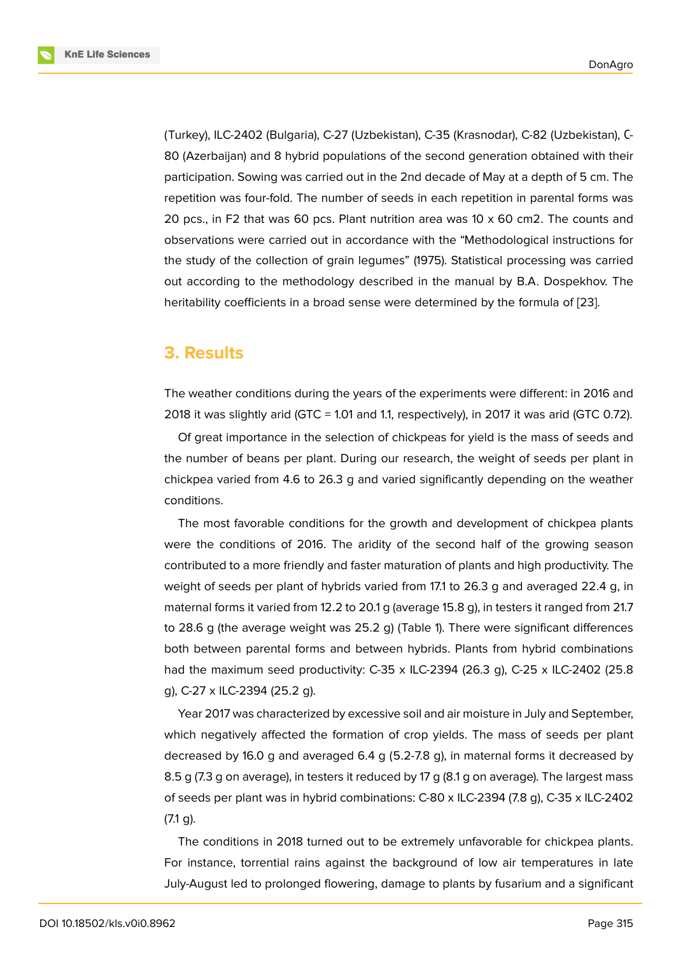(Turkey), ILC-2402 (Bulgaria), C-27 (Uzbekistan), C-35 (Krasnodar), C-82 (Uzbekistan), С-80 (Azerbaijan) and 8 hybrid populations of the second generation obtained with their participation. Sowing was carried out in the 2nd decade of May at a depth of 5 cm. The repetition was four-fold. The number of seeds in each repetition in parental forms was 20 pcs., in F2 that was 60 pcs. Plant nutrition area was 10 x 60 cm2. The counts and observations were carried out in accordance with the "Methodological instructions for the study of the collection of grain legumes" (1975). Statistical processing was carried out according to the methodology described in the manual by B.A. Dospekhov. The heritability coefficients in a broad sense were determined by the formula of [23].

#### **3. Results**

The weather conditions during the years of the experiments were different: in 2016 and 2018 it was slightly arid (GTC = 1.01 and 1.1, respectively), in 2017 it was arid (GTC 0.72).

Of great importance in the selection of chickpeas for yield is the mass of seeds and the number of beans per plant. During our research, the weight of seeds per plant in chickpea varied from 4.6 to 26.3 g and varied significantly depending on the weather conditions.

The most favorable conditions for the growth and development of chickpea plants were the conditions of 2016. The aridity of the second half of the growing season contributed to a more friendly and faster maturation of plants and high productivity. The weight of seeds per plant of hybrids varied from 17.1 to 26.3 g and averaged 22.4 g, in maternal forms it varied from 12.2 to 20.1 g (average 15.8 g), in testers it ranged from 21.7 to 28.6 g (the average weight was 25.2 g) (Table 1). There were significant differences both between parental forms and between hybrids. Plants from hybrid combinations had the maximum seed productivity: C-35 x ILC-2394 (26.3 g), C-25 x ILC-2402 (25.8 g), C-27 x ILC-2394 (25.2 g).

Year 2017 was characterized by excessive soil and air moisture in July and September, which negatively affected the formation of crop yields. The mass of seeds per plant decreased by 16.0 g and averaged 6.4 g (5.2-7.8 g), in maternal forms it decreased by 8.5 g (7.3 g on average), in testers it reduced by 17 g (8.1 g on average). The largest mass of seeds per plant was in hybrid combinations: C-80 x ILC-2394 (7.8 g), C-35 x ILC-2402 (7.1 g).

The conditions in 2018 turned out to be extremely unfavorable for chickpea plants. For instance, torrential rains against the background of low air temperatures in late July-August led to prolonged flowering, damage to plants by fusarium and a significant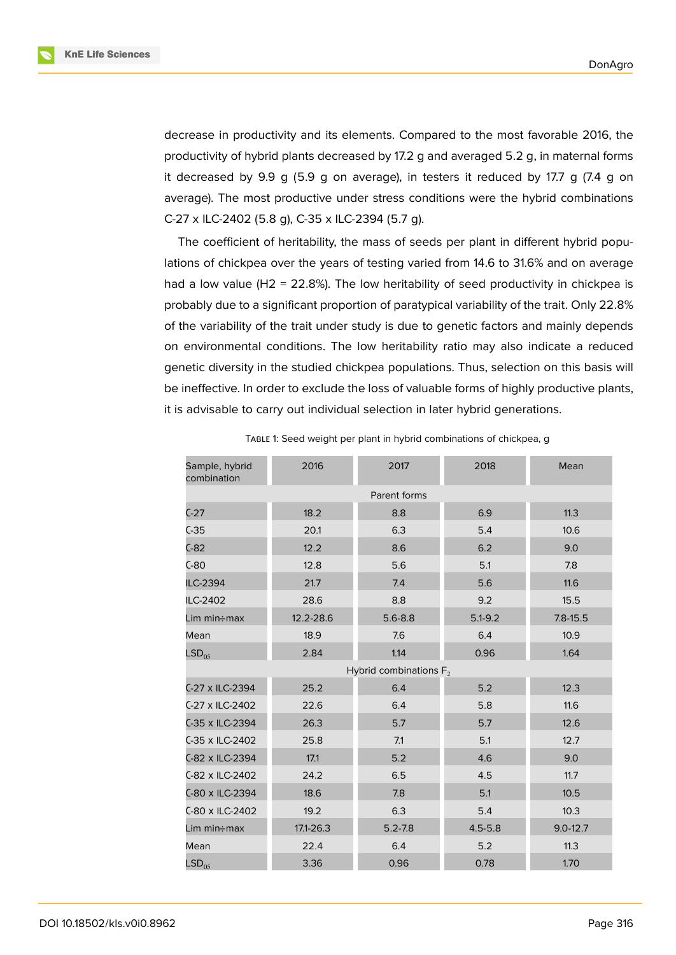decrease in productivity and its elements. Compared to the most favorable 2016, the productivity of hybrid plants decreased by 17.2 g and averaged 5.2 g, in maternal forms it decreased by 9.9 g (5.9 g on average), in testers it reduced by 17.7 g (7.4 g on average). The most productive under stress conditions were the hybrid combinations C-27 x ILC-2402 (5.8 g), C-35 x ILC-2394 (5.7 g).

The coefficient of heritability, the mass of seeds per plant in different hybrid populations of chickpea over the years of testing varied from 14.6 to 31.6% and on average had a low value (H2 = 22.8%). The low heritability of seed productivity in chickpea is probably due to a significant proportion of paratypical variability of the trait. Only 22.8% of the variability of the trait under study is due to genetic factors and mainly depends on environmental conditions. The low heritability ratio may also indicate a reduced genetic diversity in the studied chickpea populations. Thus, selection on this basis will be ineffective. In order to exclude the loss of valuable forms of highly productive plants, it is advisable to carry out individual selection in later hybrid generations.

| Sample, hybrid<br>combination | 2016                      | 2017         | 2018        | Mean         |  |  |
|-------------------------------|---------------------------|--------------|-------------|--------------|--|--|
|                               |                           | Parent forms |             |              |  |  |
| $C-27$                        | 18.2                      | 8.8          | 6.9         | 11.3         |  |  |
| $C-35$                        | 20.1                      | 6.3          | 5.4         | 10.6         |  |  |
| $C-82$                        | 12.2                      | 8.6          | 6.2         | 9.0          |  |  |
| $C-80$                        | 12.8                      | 5.6          | 5.1         | 7.8          |  |  |
| ILC-2394                      | 21.7                      | 7.4          | 5.6         | 11.6         |  |  |
| ILC-2402                      | 28.6                      | 8.8          | 9.2         | 15.5         |  |  |
| Lim min÷max                   | 12.2-28.6                 | $5.6 - 8.8$  | $5.1 - 9.2$ | $7.8 - 15.5$ |  |  |
| Mean                          | 18.9                      | 7.6          | 6.4         | 10.9         |  |  |
| LSD <sub>05</sub>             | 2.84                      | 1.14         | 0.96        | 1.64         |  |  |
|                               | Hybrid combinations $F_2$ |              |             |              |  |  |
| C-27 x ILC-2394               | 25.2                      | 6.4          | 5.2         | 12.3         |  |  |
| C-27 x ILC-2402               | 22.6                      | 6.4          | 5.8         | 11.6         |  |  |
| C-35 x ILC-2394               | 26.3                      | 5.7          | 5.7         | 12.6         |  |  |
| C-35 x ILC-2402               | 25.8                      | 7.1          | 5.1         | 12.7         |  |  |
| C-82 x ILC-2394               | 17.1                      | 5.2          | 4.6         | 9.0          |  |  |
| C-82 x ILC-2402               | 24.2                      | 6.5          | 4.5         | 11.7         |  |  |
| C-80 x ILC-2394               | 18.6                      | 7.8          | 5.1         | 10.5         |  |  |
| C-80 x ILC-2402               | 19.2                      | 6.3          | 5.4         | 10.3         |  |  |
| Lim min÷max                   | 17.1-26.3                 | $5.2 - 7.8$  | $4.5 - 5.8$ | $9.0 - 12.7$ |  |  |
| Mean                          | 22.4                      | 6.4          | 5.2         | 11.3         |  |  |
| LSD <sub>05</sub>             | 3.36                      | 0.96         | 0.78        | 1.70         |  |  |
|                               |                           |              |             |              |  |  |

TABLE 1: Seed weight per plant in hybrid combinations of chickpea, g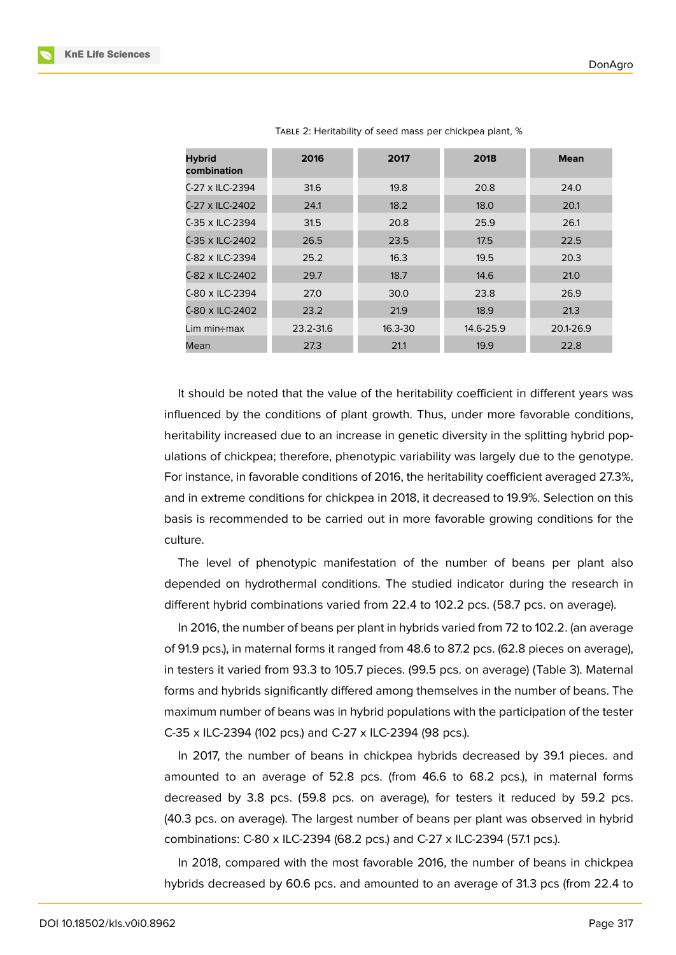| <b>Hybrid</b><br>combination | 2016      | 2017        | 2018      | <b>Mean</b> |
|------------------------------|-----------|-------------|-----------|-------------|
| C-27 x ILC-2394              | 31.6      | 19.8        | 20.8      | 24.0        |
| C-27 x ILC-2402              | 24.1      | 18.2        | 18.0      | 20.1        |
| C-35 x ILC-2394              | 31.5      | 20.8        | 25.9      | 26.1        |
| C-35 x ILC-2402              | 26.5      | 23.5        | 17.5      | 22.5        |
| C-82 x ILC-2394              | 25.2      | 16.3        | 19.5      | 20.3        |
| C-82 x ILC-2402              | 29.7      | 18.7        | 14.6      | 21.0        |
| C-80 x ILC-2394              | 27.0      | 30.0        | 23.8      | 26.9        |
| C-80 x ILC-2402              | 23.2      | 21.9        | 18.9      | 21.3        |
| Lim min $\div$ max           | 23.2-31.6 | $16.3 - 30$ | 14.6-25.9 | 20.1-26.9   |
| Mean                         | 27.3      | 21.1        | 19.9      | 22.8        |

TABLE 2: Heritability of seed mass per chickpea plant, %

It should be noted that the value of the heritability coefficient in different years was influenced by the conditions of plant growth. Thus, under more favorable conditions, heritability increased due to an increase in genetic diversity in the splitting hybrid populations of chickpea; therefore, phenotypic variability was largely due to the genotype. For instance, in favorable conditions of 2016, the heritability coefficient averaged 27.3%, and in extreme conditions for chickpea in 2018, it decreased to 19.9%. Selection on this basis is recommended to be carried out in more favorable growing conditions for the culture.

The level of phenotypic manifestation of the number of beans per plant also depended on hydrothermal conditions. The studied indicator during the research in different hybrid combinations varied from 22.4 to 102.2 pcs. (58.7 pcs. on average).

In 2016, the number of beans per plant in hybrids varied from 72 to 102.2. (an average of 91.9 pcs.), in maternal forms it ranged from 48.6 to 87.2 pcs. (62.8 pieces on average), in testers it varied from 93.3 to 105.7 pieces. (99.5 pcs. on average) (Table 3). Maternal forms and hybrids significantly differed among themselves in the number of beans. The maximum number of beans was in hybrid populations with the participation of the tester C-35 x ILC-2394 (102 pcs.) and C-27 x ILC-2394 (98 pcs.).

In 2017, the number of beans in chickpea hybrids decreased by 39.1 pieces. and amounted to an average of 52.8 pcs. (from 46.6 to 68.2 pcs.), in maternal forms decreased by 3.8 pcs. (59.8 pcs. on average), for testers it reduced by 59.2 pcs. (40.3 pcs. on average). The largest number of beans per plant was observed in hybrid combinations: C-80 x ILC-2394 (68.2 pcs.) and C-27 x ILC-2394 (57.1 pcs.).

In 2018, compared with the most favorable 2016, the number of beans in chickpea hybrids decreased by 60.6 pcs. and amounted to an average of 31.3 pcs (from 22.4 to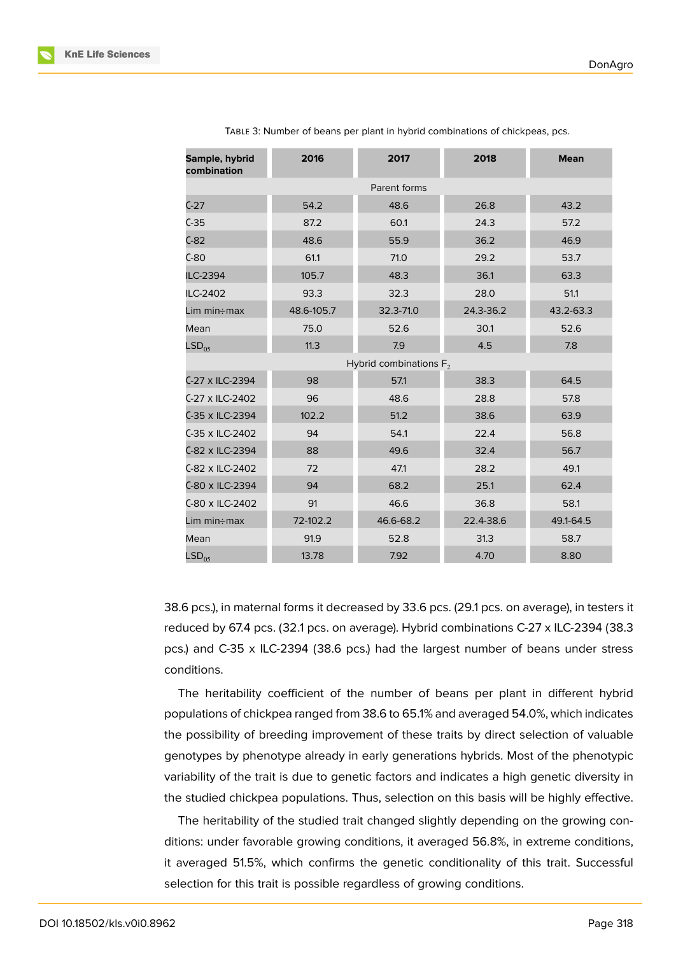| Sample, hybrid<br>combination | 2016                      | 2017         | 2018      | <b>Mean</b> |  |  |
|-------------------------------|---------------------------|--------------|-----------|-------------|--|--|
|                               |                           | Parent forms |           |             |  |  |
| $C-27$                        | 54.2                      | 48.6         | 26.8      | 43.2        |  |  |
| $C-35$                        | 87.2                      | 60.1         | 24.3      | 57.2        |  |  |
| $C-82$                        | 48.6                      | 55.9         | 36.2      | 46.9        |  |  |
| $C-80$                        | 61.1                      | 71.0         | 29.2      | 53.7        |  |  |
| ILC-2394                      | 105.7                     | 48.3         | 36.1      | 63.3        |  |  |
| ILC-2402                      | 93.3                      | 32.3         | 28.0      | 51.1        |  |  |
| Lim min÷max                   | 48.6-105.7                | 32.3-71.0    | 24.3-36.2 | 43.2-63.3   |  |  |
| Mean                          | 75.0                      | 52.6         | 30.1      | 52.6        |  |  |
| LSD <sub>05</sub>             | 11.3                      | 7.9          | 4.5       | 7.8         |  |  |
|                               | Hybrid combinations $F_2$ |              |           |             |  |  |
| C-27 x ILC-2394               | 98                        | 57.1         | 38.3      | 64.5        |  |  |
| C-27 x ILC-2402               | 96                        | 48.6         | 28.8      | 57.8        |  |  |
| C-35 x ILC-2394               | 102.2                     | 51.2         | 38.6      | 63.9        |  |  |
| C-35 x ILC-2402               | 94                        | 54.1         | 22.4      | 56.8        |  |  |
| C-82 x ILC-2394               | 88                        | 49.6         | 32.4      | 56.7        |  |  |
| C-82 x ILC-2402               | 72                        | 47.1         | 28.2      | 49.1        |  |  |
| C-80 x ILC-2394               | 94                        | 68.2         | 25.1      | 62.4        |  |  |
| C-80 x ILC-2402               | 91                        | 46.6         | 36.8      | 58.1        |  |  |
| Lim min÷max                   | 72-102.2                  | 46.6-68.2    | 22.4-38.6 | 49.1-64.5   |  |  |
| Mean                          | 91.9                      | 52.8         | 31.3      | 58.7        |  |  |
| LSD <sub>05</sub>             | 13.78                     | 7.92         | 4.70      | 8.80        |  |  |

TABLE 3: Number of beans per plant in hybrid combinations of chickpeas, pcs.

38.6 pcs.), in maternal forms it decreased by 33.6 pcs. (29.1 pcs. on average), in testers it reduced by 67.4 pcs. (32.1 pcs. on average). Hybrid combinations C-27 x ILC-2394 (38.3 pcs.) and C-35 x ILC-2394 (38.6 pcs.) had the largest number of beans under stress conditions.

The heritability coefficient of the number of beans per plant in different hybrid populations of chickpea ranged from 38.6 to 65.1% and averaged 54.0%, which indicates the possibility of breeding improvement of these traits by direct selection of valuable genotypes by phenotype already in early generations hybrids. Most of the phenotypic variability of the trait is due to genetic factors and indicates a high genetic diversity in the studied chickpea populations. Thus, selection on this basis will be highly effective.

The heritability of the studied trait changed slightly depending on the growing conditions: under favorable growing conditions, it averaged 56.8%, in extreme conditions, it averaged 51.5%, which confirms the genetic conditionality of this trait. Successful selection for this trait is possible regardless of growing conditions.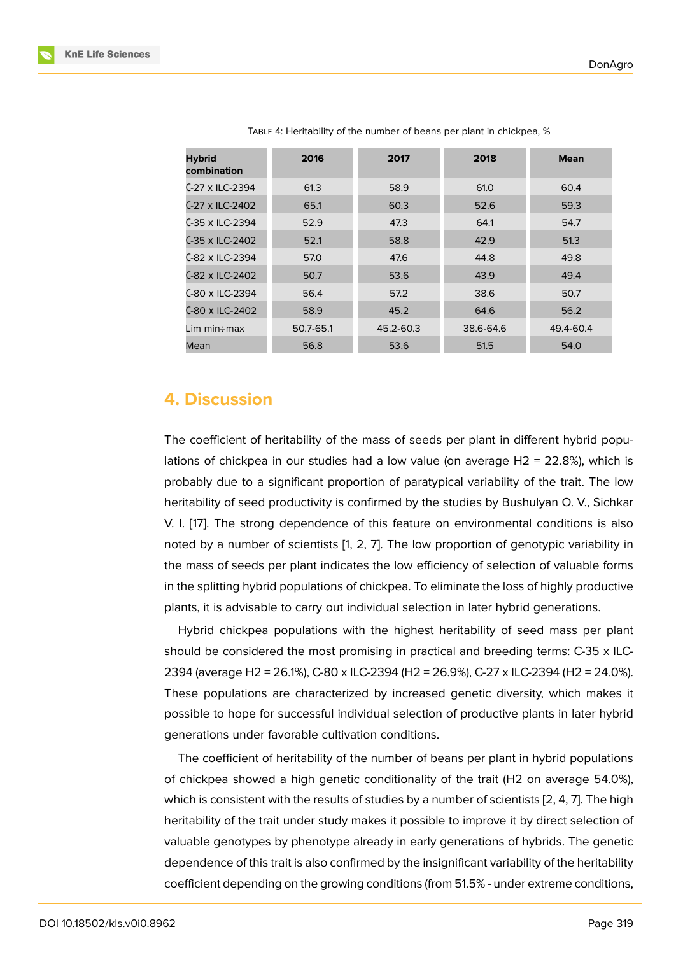| <b>Hybrid</b><br>combination | 2016      | 2017      | 2018      | <b>Mean</b> |
|------------------------------|-----------|-----------|-----------|-------------|
| C-27 x ILC-2394              | 61.3      | 58.9      | 61.0      | 60.4        |
| C-27 x ILC-2402              | 65.1      | 60.3      | 52.6      | 59.3        |
| C-35 x ILC-2394              | 52.9      | 47.3      | 64.1      | 54.7        |
| C-35 x ILC-2402              | 52.1      | 58.8      | 42.9      | 51.3        |
| C-82 x ILC-2394              | 57.0      | 47.6      | 44.8      | 49.8        |
| C-82 x ILC-2402              | 50.7      | 53.6      | 43.9      | 49.4        |
| C-80 x ILC-2394              | 56.4      | 57.2      | 38.6      | 50.7        |
| C-80 x ILC-2402              | 58.9      | 45.2      | 64.6      | 56.2        |
| Lim min÷max                  | 50.7-65.1 | 45.2-60.3 | 38.6-64.6 | 49.4-60.4   |
| Mean                         | 56.8      | 53.6      | 51.5      | 54.0        |

TABLE 4: Heritability of the number of beans per plant in chickpea, %

### **4. Discussion**

The coefficient of heritability of the mass of seeds per plant in different hybrid populations of chickpea in our studies had a low value (on average  $H2 = 22.8\%$ ), which is probably due to a significant proportion of paratypical variability of the trait. The low heritability of seed productivity is confirmed by the studies by Bushulyan O. V., Sichkar V. I. [17]. The strong dependence of this feature on environmental conditions is also noted by a number of scientists [1, 2, 7]. The low proportion of genotypic variability in the mass of seeds per plant indicates the low efficiency of selection of valuable forms in th[e sp](#page-9-7)litting hybrid populations of chickpea. To eliminate the loss of highly productive plants, it is advisable to carry out [i](#page-8-0)[ndi](#page-8-5)[vid](#page-9-0)ual selection in later hybrid generations.

Hybrid chickpea populations with the highest heritability of seed mass per plant should be considered the most promising in practical and breeding terms: C-35 x ILC-2394 (average H2 = 26.1%), C-80 x ILC-2394 (H2 = 26.9%), C-27 x ILC-2394 (H2 = 24.0%). These populations are characterized by increased genetic diversity, which makes it possible to hope for successful individual selection of productive plants in later hybrid generations under favorable cultivation conditions.

The coefficient of heritability of the number of beans per plant in hybrid populations of chickpea showed a high genetic conditionality of the trait (H2 on average 54.0%), which is consistent with the results of studies by a number of scientists [2, 4, 7]. The high heritability of the trait under study makes it possible to improve it by direct selection of valuable genotypes by phenotype already in early generations of hybrids. The genetic dependence of this trait is also confirmed by the insignificant variability [of](#page-8-5) [th](#page-8-2)[e h](#page-9-0)eritability coefficient depending on the growing conditions (from 51.5% - under extreme conditions,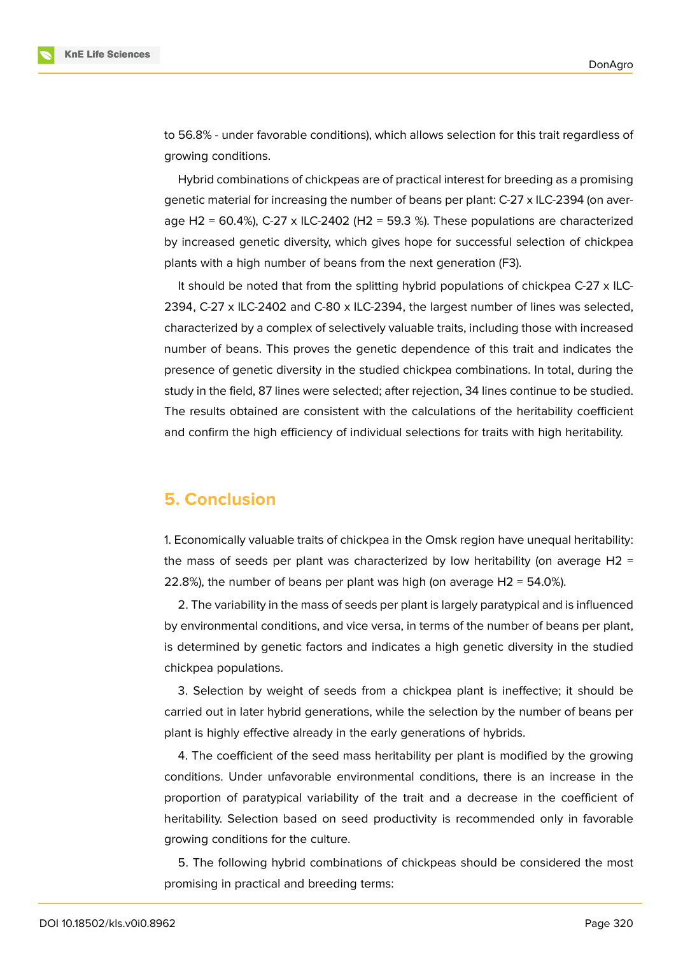to 56.8% - under favorable conditions), which allows selection for this trait regardless of growing conditions.

Hybrid combinations of chickpeas are of practical interest for breeding as a promising genetic material for increasing the number of beans per plant: C-27 x ILC-2394 (on average H2 = 60.4%), C-27 x ILC-2402 (H2 = 59.3 %). These populations are characterized by increased genetic diversity, which gives hope for successful selection of chickpea plants with a high number of beans from the next generation (F3).

It should be noted that from the splitting hybrid populations of chickpea C-27 x ILC-2394, C-27 x ILC-2402 and C-80 x ILC-2394, the largest number of lines was selected, characterized by a complex of selectively valuable traits, including those with increased number of beans. This proves the genetic dependence of this trait and indicates the presence of genetic diversity in the studied chickpea combinations. In total, during the study in the field, 87 lines were selected; after rejection, 34 lines continue to be studied. The results obtained are consistent with the calculations of the heritability coefficient and confirm the high efficiency of individual selections for traits with high heritability.

### **5. Conclusion**

1. Economically valuable traits of chickpea in the Omsk region have unequal heritability: the mass of seeds per plant was characterized by low heritability (on average H2 = 22.8%), the number of beans per plant was high (on average H2 = 54.0%).

2. The variability in the mass of seeds per plant is largely paratypical and is influenced by environmental conditions, and vice versa, in terms of the number of beans per plant, is determined by genetic factors and indicates a high genetic diversity in the studied chickpea populations.

3. Selection by weight of seeds from a chickpea plant is ineffective; it should be carried out in later hybrid generations, while the selection by the number of beans per plant is highly effective already in the early generations of hybrids.

4. The coefficient of the seed mass heritability per plant is modified by the growing conditions. Under unfavorable environmental conditions, there is an increase in the proportion of paratypical variability of the trait and a decrease in the coefficient of heritability. Selection based on seed productivity is recommended only in favorable growing conditions for the culture.

5. The following hybrid combinations of chickpeas should be considered the most promising in practical and breeding terms: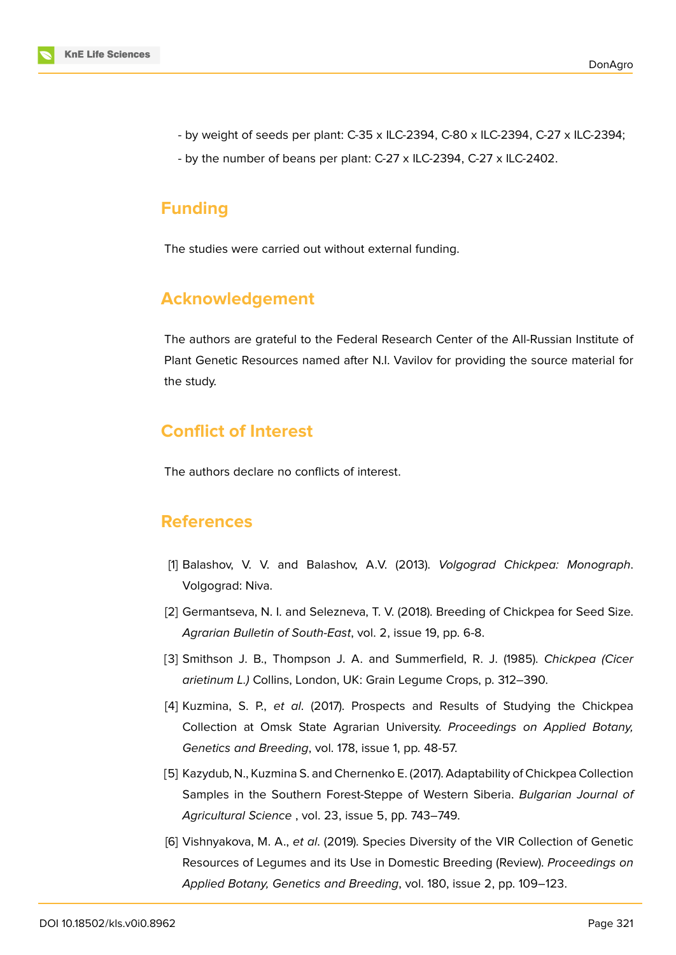

- by weight of seeds per plant: C-35 x ILC-2394, C-80 x ILC-2394, C-27 x ILC-2394;
- by the number of beans per plant: C-27 x ILC-2394, C-27 x ILC-2402.

#### **Funding**

The studies were carried out without external funding.

### **Acknowledgement**

The authors are grateful to the Federal Research Center of the All-Russian Institute of Plant Genetic Resources named after N.I. Vavilov for providing the source material for the study.

### **Conflict of Interest**

The authors declare no conflicts of interest.

### **References**

- <span id="page-8-0"></span>[1] Balashov, V. V. and Balashov, A.V. (2013). *Volgograd Chickpea: Monograph*. Volgograd: Niva.
- <span id="page-8-5"></span>[2] Germantseva, N. I. and Selezneva, T. V. (2018). Breeding of Chickpea for Seed Size. *Agrarian Bulletin of South-East*, vol. 2, issue 19, pp. 6-8.
- <span id="page-8-1"></span>[3] Smithson J. B., Thompson J. A. and Summerfield, R. J. (1985). *Chickpea (Cicer arietinum L.)* Collins, London, UK: Grain Legume Crops, p. 312–390.
- <span id="page-8-2"></span>[4] Kuzmina, S. P., *et al*. (2017). Prospects and Results of Studying the Chickpea Collection at Omsk State Agrarian University. *Proceedings on Applied Botany, Genetics and Breeding*, vol. 178, issue 1, pp. 48-57.
- <span id="page-8-3"></span>[5] Kazydub, N., Kuzmina S. and Chernenko E. (2017). Adaptability of Chickpea Collection Samples in the Southern Forest-Steppe of Western Siberia. *Bulgarian Journal of Agricultural Science* , vol. 23, issue 5, рр. 743–749.
- <span id="page-8-4"></span>[6] Vishnyakova, M. A., *et al*. (2019). Species Diversity of the VIR Collection of Genetic Resources of Legumes and its Use in Domestic Breeding (Review). *Proceedings on Applied Botany, Genetics and Breeding*, vol. 180, issue 2, pp. 109–123.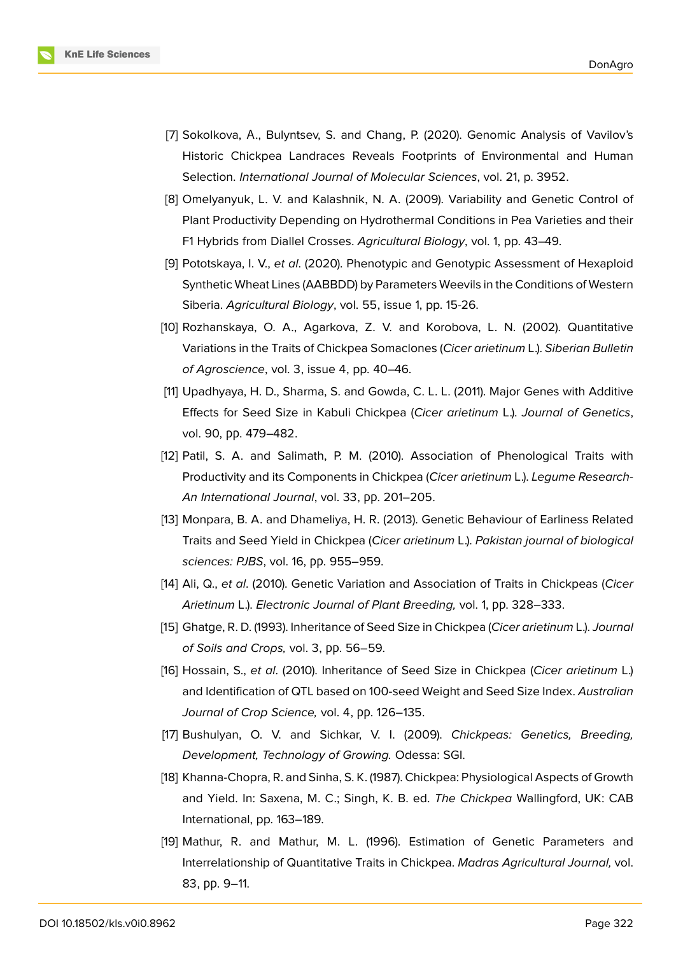

- <span id="page-9-0"></span>[7] Sokolkova, A., Bulyntsev, S. and Chang, P. (2020). Genomic Analysis of Vavilov's Historic Chickpea Landraces Reveals Footprints of Environmental and Human Selection. *International Journal of Molecular Sciences*, vol. 21, p. 3952.
- <span id="page-9-1"></span>[8] Omelyanyuk, L. V. and Kalashnik, N. A. (2009). Variability and Genetic Control of Plant Productivity Depending on Hydrothermal Conditions in Pea Varieties and their F1 Hybrids from Diallel Crosses. *Agricultural Biology*, vol. 1, pp. 43–49.
- [9] Pototskaya, I. V., *et al*. (2020). Phenotypic and Genotypic Assessment of Hexaploid Synthetic Wheat Lines (AABBDD) by Parameters Weevils in the Conditions of Western Siberia. *Agricultural Biology*, vol. 55, issue 1, pp. 15-26.
- <span id="page-9-2"></span>[10] Rozhanskaya, O. A., Agarkova, Z. V. and Korobova, L. N. (2002). Quantitative Variations in the Traits of Chickpea Somaclones (*Cicer arietinum* L.). *Siberian Bulletin of Agroscience*, vol. 3, issue 4, pp. 40–46.
- <span id="page-9-3"></span>[11] Upadhyaya, H. D., Sharma, S. and Gowda, C. L. L. (2011). Major Genes with Additive Effects for Seed Size in Kabuli Chickpea (*Cicer arietinum* L.). *Journal of Genetics*, vol. 90, рр. 479–482.
- [12] Patil, S. A. and Salimath, P. M. (2010). Association of Phenological Traits with Productivity and its Components in Chickpea (*Cicer arietinum* L.). *Legume Research-An International Journal*, vol. 33, рр. 201–205.
- <span id="page-9-4"></span>[13] Monpara, B. A. and Dhameliya, H. R. (2013). Genetic Behaviour of Earliness Related Traits and Seed Yield in Chickpea (*Cicer arietinum* L.). *Pakistan journal of biological sciences: PJBS*, vol. 16, рр. 955–959.
- <span id="page-9-5"></span>[14] Ali, Q., *et al*. (2010). Genetic Variation and Association of Traits in Chickpeas (*Cicer Arietinum* L.). *Electronic Journal of Plant Breeding,* vol. 1, рр. 328–333.
- [15] Ghatge, R. D. (1993). Inheritance of Seed Size in Chickpea (*Cicer arietinum* L.). *Journal of Soils and Crops,* vol. 3, рр. 56–59.
- <span id="page-9-6"></span>[16] Hossain, S., *et al*. (2010). Inheritance of Seed Size in Chickpea (*Cicer arietinum* L.) and Identification of QTL based on 100-seed Weight and Seed Size Index. *Australian Journal of Crop Science,* vol. 4, рр. 126–135.
- <span id="page-9-7"></span>[17] Bushulyan, O. V. and Sichkar, V. I. (2009). *Chickpeas: Genetics, Breeding, Development, Technology of Growing.* Odessa: SGI.
- [18] Khanna-Chopra, R. and Sinha, S. K. (1987). Chickpea: Physiological Aspects of Growth and Yield. In: Saxena, M. C.; Singh, K. B. ed. *The Chickpea* Wallingford, UK: CAB International, pp. 163–189.
- <span id="page-9-8"></span>[19] Mathur, R. and Mathur, M. L. (1996). Estimation of Genetic Parameters and Interrelationship of Quantitative Traits in Chickpea. *Madras Agricultural Journal,* vol. 83, рр. 9–11.